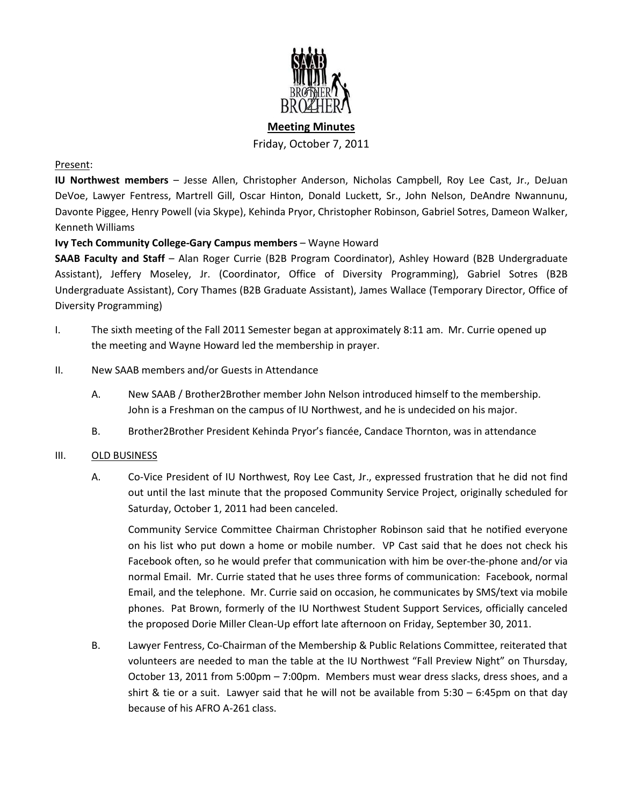

**Meeting Minutes** Friday, October 7, 2011

### Present:

**IU Northwest members** – Jesse Allen, Christopher Anderson, Nicholas Campbell, Roy Lee Cast, Jr., DeJuan DeVoe, Lawyer Fentress, Martrell Gill, Oscar Hinton, Donald Luckett, Sr., John Nelson, DeAndre Nwannunu, Davonte Piggee, Henry Powell (via Skype), Kehinda Pryor, Christopher Robinson, Gabriel Sotres, Dameon Walker, Kenneth Williams

# **Ivy Tech Community College-Gary Campus members** – Wayne Howard

**SAAB Faculty and Staff** – Alan Roger Currie (B2B Program Coordinator), Ashley Howard (B2B Undergraduate Assistant), Jeffery Moseley, Jr. (Coordinator, Office of Diversity Programming), Gabriel Sotres (B2B Undergraduate Assistant), Cory Thames (B2B Graduate Assistant), James Wallace (Temporary Director, Office of Diversity Programming)

I. The sixth meeting of the Fall 2011 Semester began at approximately 8:11 am. Mr. Currie opened up the meeting and Wayne Howard led the membership in prayer.

### II. New SAAB members and/or Guests in Attendance

- A. New SAAB / Brother2Brother member John Nelson introduced himself to the membership. John is a Freshman on the campus of IU Northwest, and he is undecided on his major.
- B. Brother2Brother President Kehinda Pryor's fiancée, Candace Thornton, was in attendance

#### III. OLD BUSINESS

A. Co-Vice President of IU Northwest, Roy Lee Cast, Jr., expressed frustration that he did not find out until the last minute that the proposed Community Service Project, originally scheduled for Saturday, October 1, 2011 had been canceled.

Community Service Committee Chairman Christopher Robinson said that he notified everyone on his list who put down a home or mobile number. VP Cast said that he does not check his Facebook often, so he would prefer that communication with him be over-the-phone and/or via normal Email. Mr. Currie stated that he uses three forms of communication: Facebook, normal Email, and the telephone. Mr. Currie said on occasion, he communicates by SMS/text via mobile phones. Pat Brown, formerly of the IU Northwest Student Support Services, officially canceled the proposed Dorie Miller Clean-Up effort late afternoon on Friday, September 30, 2011.

B. Lawyer Fentress, Co-Chairman of the Membership & Public Relations Committee, reiterated that volunteers are needed to man the table at the IU Northwest "Fall Preview Night" on Thursday, October 13, 2011 from 5:00pm – 7:00pm. Members must wear dress slacks, dress shoes, and a shirt & tie or a suit. Lawyer said that he will not be available from 5:30 – 6:45pm on that day because of his AFRO A-261 class.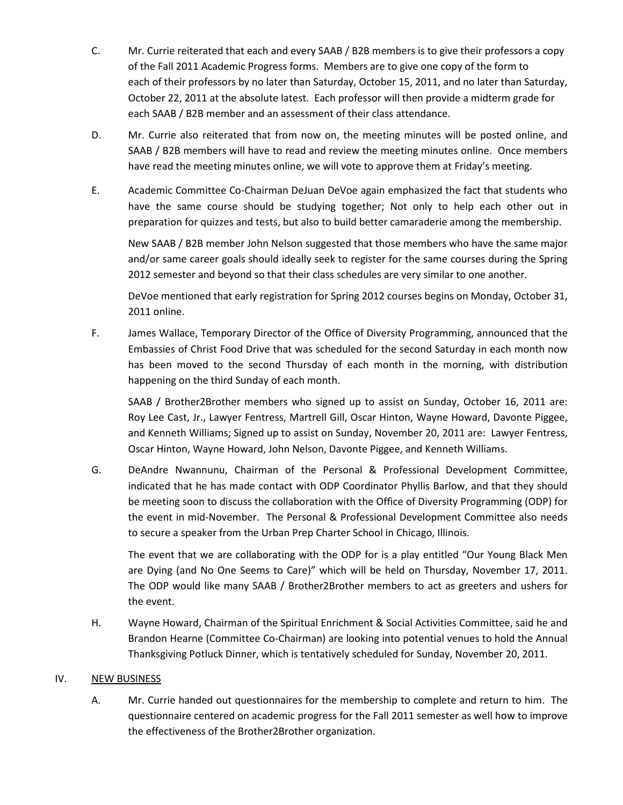- C. Mr. Currie reiterated that each and every SAAB / B2B members is to give their professors a copy of the Fall 2011 Academic Progress forms. Members are to give one copy of the form to each of their professors by no later than Saturday, October 15, 2011, and no later than Saturday, October 22, 2011 at the absolute latest. Each professor will then provide a midterm grade for each SAAB / B2B member and an assessment of their class attendance.
- D. Mr. Currie also reiterated that from now on, the meeting minutes will be posted online, and SAAB / B2B members will have to read and review the meeting minutes online. Once members have read the meeting minutes online, we will vote to approve them at Friday's meeting.
- E. Academic Committee Co-Chairman DeJuan DeVoe again emphasized the fact that students who have the same course should be studying together; Not only to help each other out in preparation for quizzes and tests, but also to build better camaraderie among the membership.

New SAAB / B2B member John Nelson suggested that those members who have the same major and/or same career goals should ideally seek to register for the same courses during the Spring 2012 semester and beyond so that their class schedules are very similar to one another.

DeVoe mentioned that early registration for Spring 2012 courses begins on Monday, October 31, 2011 online.

F. James Wallace, Temporary Director of the Office of Diversity Programming, announced that the Embassies of Christ Food Drive that was scheduled for the second Saturday in each month now has been moved to the second Thursday of each month in the morning, with distribution happening on the third Sunday of each month.

SAAB / Brother2Brother members who signed up to assist on Sunday, October 16, 2011 are: Roy Lee Cast, Jr., Lawyer Fentress, Martrell Gill, Oscar Hinton, Wayne Howard, Davonte Piggee, and Kenneth Williams; Signed up to assist on Sunday, November 20, 2011 are: Lawyer Fentress, Oscar Hinton, Wayne Howard, John Nelson, Davonte Piggee, and Kenneth Williams.

G. DeAndre Nwannunu, Chairman of the Personal & Professional Development Committee, indicated that he has made contact with ODP Coordinator Phyllis Barlow, and that they should be meeting soon to discuss the collaboration with the Office of Diversity Programming (ODP) for the event in mid-November. The Personal & Professional Development Committee also needs to secure a speaker from the Urban Prep Charter School in Chicago, Illinois.

The event that we are collaborating with the ODP for is a play entitled "Our Young Black Men are Dying (and No One Seems to Care)" which will be held on Thursday, November 17, 2011. The ODP would like many SAAB / Brother2Brother members to act as greeters and ushers for the event.

H. Wayne Howard, Chairman of the Spiritual Enrichment & Social Activities Committee, said he and Brandon Hearne (Committee Co-Chairman) are looking into potential venues to hold the Annual Thanksgiving Potluck Dinner, which is tentatively scheduled for Sunday, November 20, 2011.

# IV. NEW BUSINESS

A. Mr. Currie handed out questionnaires for the membership to complete and return to him. The questionnaire centered on academic progress for the Fall 2011 semester as well how to improve the effectiveness of the Brother2Brother organization.